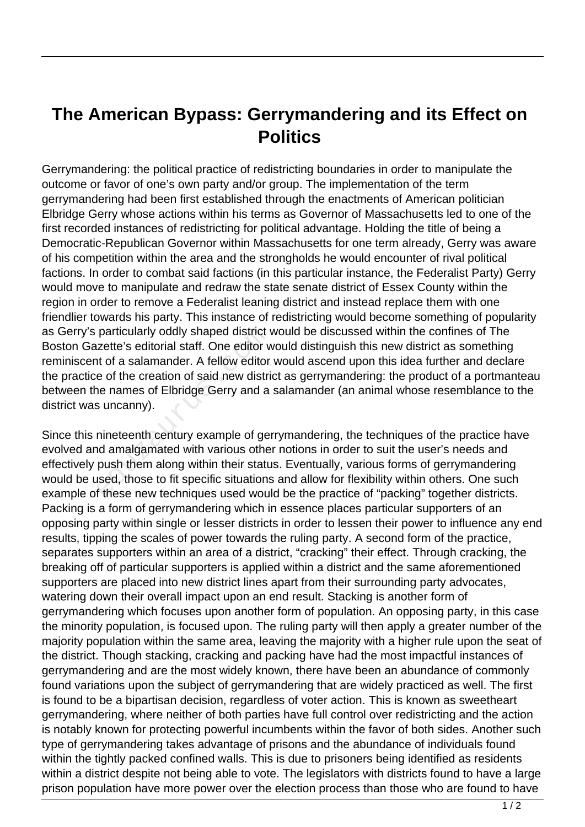## **The American Bypass: Gerrymandering and its Effect on Politics**

Gerrymandering: the political practice of redistricting boundaries in order to manipulate the outcome or favor of one's own party and/or group. The implementation of the term gerrymandering had been first established through the enactments of American politician Elbridge Gerry whose actions within his terms as Governor of Massachusetts led to one of the first recorded instances of redistricting for political advantage. Holding the title of being a Democratic-Republican Governor within Massachusetts for one term already, Gerry was aware of his competition within the area and the strongholds he would encounter of rival political factions. In order to combat said factions (in this particular instance, the Federalist Party) Gerry would move to manipulate and redraw the state senate district of Essex County within the region in order to remove a Federalist leaning district and instead replace them with one friendlier towards his party. This instance of redistricting would become something of popularity as Gerry's particularly oddly shaped district would be discussed within the confines of The Boston Gazette's editorial staff. One editor would distinguish this new district as something reminiscent of a salamander. A fellow editor would ascend upon this idea further and declare the practice of the creation of said new district as gerrymandering: the product of a portmanteau between the names of Elbridge Gerry and a salamander (an animal whose resemblance to the district was uncanny). particularly oddly shaped district v<br>
izette's editorial staff. One editor v<br>
it of a salamander. A fellow editor<br>
e of the creation of said new distri<br>
ine names of Elbridge Gerry and a<br>
s uncanny).<br>
inineteenth century e

Since this nineteenth century example of gerrymandering, the techniques of the practice have evolved and amalgamated with various other notions in order to suit the user's needs and effectively push them along within their status. Eventually, various forms of gerrymandering would be used, those to fit specific situations and allow for flexibility within others. One such example of these new techniques used would be the practice of "packing" together districts. Packing is a form of gerrymandering which in essence places particular supporters of an opposing party within single or lesser districts in order to lessen their power to influence any end results, tipping the scales of power towards the ruling party. A second form of the practice, separates supporters within an area of a district, "cracking" their effect. Through cracking, the breaking off of particular supporters is applied within a district and the same aforementioned supporters are placed into new district lines apart from their surrounding party advocates, watering down their overall impact upon an end result. Stacking is another form of gerrymandering which focuses upon another form of population. An opposing party, in this case the minority population, is focused upon. The ruling party will then apply a greater number of the majority population within the same area, leaving the majority with a higher rule upon the seat of the district. Though stacking, cracking and packing have had the most impactful instances of gerrymandering and are the most widely known, there have been an abundance of commonly found variations upon the subject of gerrymandering that are widely practiced as well. The first is found to be a bipartisan decision, regardless of voter action. This is known as sweetheart gerrymandering, where neither of both parties have full control over redistricting and the action is notably known for protecting powerful incumbents within the favor of both sides. Another such type of gerrymandering takes advantage of prisons and the abundance of individuals found within the tightly packed confined walls. This is due to prisoners being identified as residents within a district despite not being able to vote. The legislators with districts found to have a large prison population have more power over the election process than those who are found to have